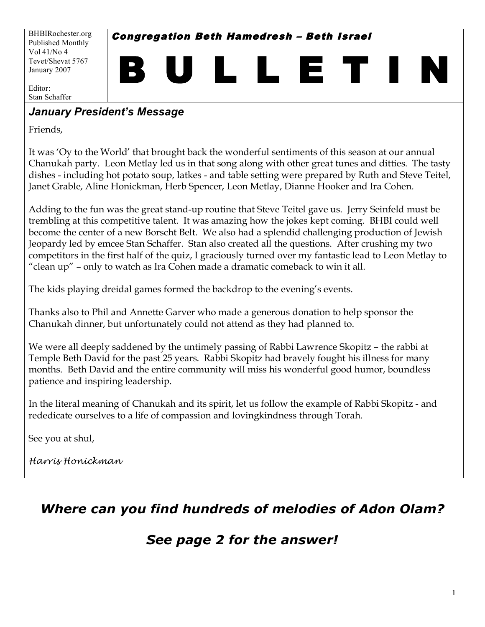BHBIRochester.org Published Monthly Vol 41/No 4 Tevet/Shevat 5767 January 2007

Congregation Beth Hamedresh – Beth Israel

B U L L E T I N

Editor: Stan Schaffer

### *January President's Message*

Friends,

It was 'Oy to the World' that brought back the wonderful sentiments of this season at our annual Chanukah party. Leon Metlay led us in that song along with other great tunes and ditties. The tasty dishes - including hot potato soup, latkes - and table setting were prepared by Ruth and Steve Teitel, Janet Grable, Aline Honickman, Herb Spencer, Leon Metlay, Dianne Hooker and Ira Cohen.

Adding to the fun was the great stand-up routine that Steve Teitel gave us. Jerry Seinfeld must be trembling at this competitive talent. It was amazing how the jokes kept coming. BHBI could well become the center of a new Borscht Belt. We also had a splendid challenging production of Jewish Jeopardy led by emcee Stan Schaffer. Stan also created all the questions. After crushing my two competitors in the first half of the quiz, I graciously turned over my fantastic lead to Leon Metlay to "clean up" – only to watch as Ira Cohen made a dramatic comeback to win it all.

The kids playing dreidal games formed the backdrop to the evening's events.

Thanks also to Phil and Annette Garver who made a generous donation to help sponsor the Chanukah dinner, but unfortunately could not attend as they had planned to.

We were all deeply saddened by the untimely passing of Rabbi Lawrence Skopitz – the rabbi at Temple Beth David for the past 25 years. Rabbi Skopitz had bravely fought his illness for many months. Beth David and the entire community will miss his wonderful good humor, boundless patience and inspiring leadership.

In the literal meaning of Chanukah and its spirit, let us follow the example of Rabbi Skopitz - and rededicate ourselves to a life of compassion and lovingkindness through Torah.

See you at shul,

*Harris Honickman*

# *Where can you find hundreds of melodies of Adon Olam?*

# *See page 2 for the answer!*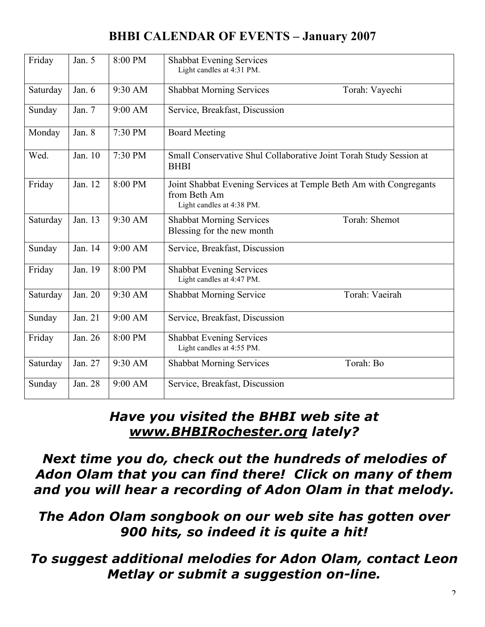# **BHBI CALENDAR OF EVENTS – January 2007**

| Friday   | Jan. 5  | 8:00 PM | <b>Shabbat Evening Services</b><br>Light candles at 4:31 PM.                                                   |
|----------|---------|---------|----------------------------------------------------------------------------------------------------------------|
| Saturday | Jan. 6  | 9:30 AM | <b>Shabbat Morning Services</b><br>Torah: Vayechi                                                              |
| Sunday   | Jan. 7  | 9:00 AM | Service, Breakfast, Discussion                                                                                 |
| Monday   | Jan. 8  | 7:30 PM | <b>Board Meeting</b>                                                                                           |
| Wed.     | Jan. 10 | 7:30 PM | Small Conservative Shul Collaborative Joint Torah Study Session at<br><b>BHBI</b>                              |
| Friday   | Jan. 12 | 8:00 PM | Joint Shabbat Evening Services at Temple Beth Am with Congregants<br>from Beth Am<br>Light candles at 4:38 PM. |
| Saturday | Jan. 13 | 9:30 AM | Torah: Shemot<br><b>Shabbat Morning Services</b><br>Blessing for the new month                                 |
| Sunday   | Jan. 14 | 9:00 AM | Service, Breakfast, Discussion                                                                                 |
| Friday   | Jan. 19 | 8:00 PM | <b>Shabbat Evening Services</b><br>Light candles at 4:47 PM.                                                   |
| Saturday | Jan. 20 | 9:30 AM | Torah: Vaeirah<br><b>Shabbat Morning Service</b>                                                               |
| Sunday   | Jan. 21 | 9:00 AM | Service, Breakfast, Discussion                                                                                 |
| Friday   | Jan. 26 | 8:00 PM | <b>Shabbat Evening Services</b><br>Light candles at 4:55 PM.                                                   |
| Saturday | Jan. 27 | 9:30 AM | Torah: Bo<br><b>Shabbat Morning Services</b>                                                                   |
| Sunday   | Jan. 28 | 9:00 AM | Service, Breakfast, Discussion                                                                                 |

# *Have you visited the BHBI web site at www.BHBIRochester.org lately?*

*Next time you do, check out the hundreds of melodies of Adon Olam that you can find there! Click on many of them and you will hear a recording of Adon Olam in that melody.*

*The Adon Olam songbook on our web site has gotten over 900 hits, so indeed it is quite a hit!*

*To suggest additional melodies for Adon Olam, contact Leon Metlay or submit a suggestion on-line.*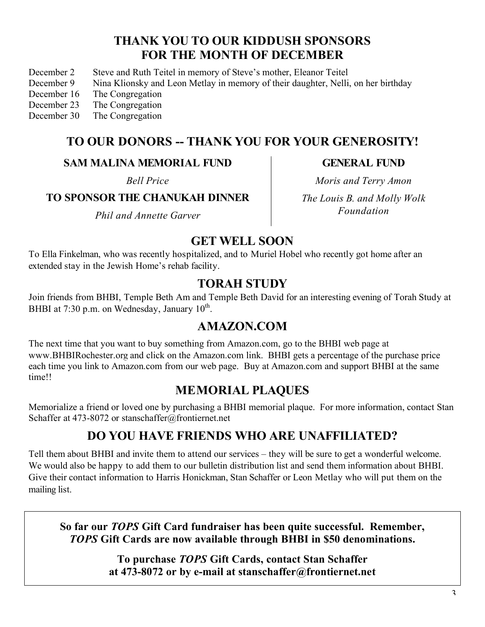### **THANK YOU TO OUR KIDDUSH SPONSORS FOR THE MONTH OF DECEMBER**

- December 2 Steve and Ruth Teitel in memory of Steve's mother, Eleanor Teitel
- December 9 Nina Klionsky and Leon Metlay in memory of their daughter, Nelli, on her birthday
- December 16 The Congregation
- December 23 The Congregation
- December 30 The Congregation

### **TO OUR DONORS -- THANK YOU FOR YOUR GENEROSITY!**

#### **SAM MALINA MEMORIAL FUND**

*Bell Price*

#### **TO SPONSOR THE CHANUKAH DINNER**

*Phil and Annette Garver*

**GENERAL FUND**

*Moris and Terry Amon The Louis B. and Molly Wolk Foundation*

#### **GET WELL SOON**

To Ella Finkelman, who was recently hospitalized, and to Muriel Hobel who recently got home after an extended stay in the Jewish Home's rehab facility.

### **TORAH STUDY**

Join friends from BHBI, Temple Beth Am and Temple Beth David for an interesting evening of Torah Study at BHBI at 7:30 p.m. on Wednesday, January  $10^{th}$ .

## **AMAZON.COM**

The next time that you want to buy something from Amazon.com, go to the BHBI web page at www.BHBIRochester.org and click on the Amazon.com link. BHBI gets a percentage of the purchase price each time you link to Amazon.com from our web page. Buy at Amazon.com and support BHBI at the same time!!

## **MEMORIAL PLAQUES**

Memorialize a friend or loved one by purchasing a BHBI memorial plaque. For more information, contact Stan Schaffer at 473-8072 or stanschaffer@frontiernet.net

## **DO YOU HAVE FRIENDS WHO ARE UNAFFILIATED?**

Tell them about BHBI and invite them to attend our services – they will be sure to get a wonderful welcome. We would also be happy to add them to our bulletin distribution list and send them information about BHBI. Give their contact information to Harris Honickman, Stan Schaffer or Leon Metlay who will put them on the mailing list.

**So far our** *TOPS* **Gift Card fundraiser has been quite successful. Remember,** *TOPS* **Gift Cards are now available through BHBI in \$50 denominations.**

> **To purchase** *TOPS* **Gift Cards, contact Stan Schaffer at 473-8072 or by e-mail at stanschaffer@frontiernet.net**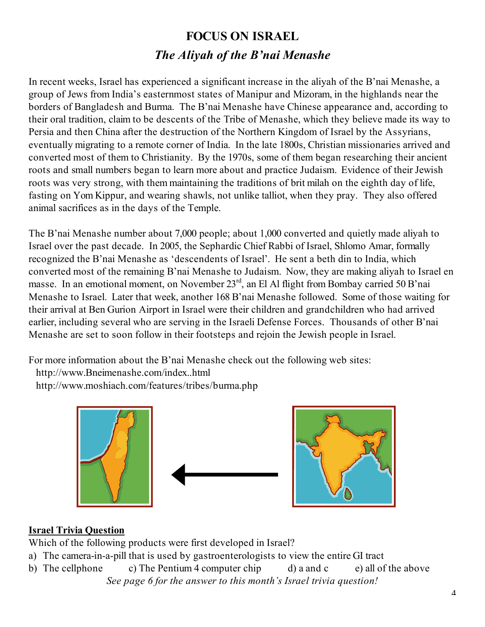# **FOCUS ON ISRAEL** *The Aliyah of the B'nai Menashe*

In recent weeks, Israel has experienced a significant increase in the aliyah of the B'nai Menashe, a group of Jews from India's easternmost states of Manipur and Mizoram, in the highlands near the borders of Bangladesh and Burma. The B'nai Menashe have Chinese appearance and, according to their oral tradition, claim to be descents of the Tribe of Menashe, which they believe made its way to Persia and then China after the destruction of the Northern Kingdom of Israel by the Assyrians, eventually migrating to a remote corner of India. In the late 1800s, Christian missionaries arrived and converted most of them to Christianity. By the 1970s, some of them began researching their ancient roots and small numbers began to learn more about and practice Judaism. Evidence of their Jewish roots was very strong, with them maintaining the traditions of brit milah on the eighth day of life, fasting on Yom Kippur, and wearing shawls, not unlike talliot, when they pray. They also offered animal sacrifices as in the days of the Temple.

The B'nai Menashe number about 7,000 people; about 1,000 converted and quietly made aliyah to Israel over the past decade. In 2005, the Sephardic Chief Rabbi of Israel, Shlomo Amar, formally recognized the B'nai Menashe as 'descendents of Israel'. He sent a beth din to India, which converted most of the remaining B'nai Menashe to Judaism. Now, they are making aliyah to Israel en masse. In an emotional moment, on November 23<sup>rd</sup>, an El Al flight from Bombay carried 50 B'nai Menashe to Israel. Later that week, another 168 B'nai Menashe followed. Some of those waiting for their arrival at Ben Gurion Airport in Israel were their children and grandchildren who had arrived earlier, including several who are serving in the Israeli Defense Forces. Thousands of other B'nai Menashe are set to soon follow in their footsteps and rejoin the Jewish people in Israel.

For more information about the B'nai Menashe check out the following web sites:

- http://www.Bneimenashe.com/index..html
- http://www.moshiach.com/features/tribes/burma.php



#### **Israel Trivia Question**

Which of the following products were first developed in Israel?

- a) The camera-in-a-pill that is used by gastroenterologists to view the entire GI tract
- b) The cellphone c) The Pentium 4 computer chip d) a and c e) all of the above *See page 6 for the answer to this month's Israel trivia question!*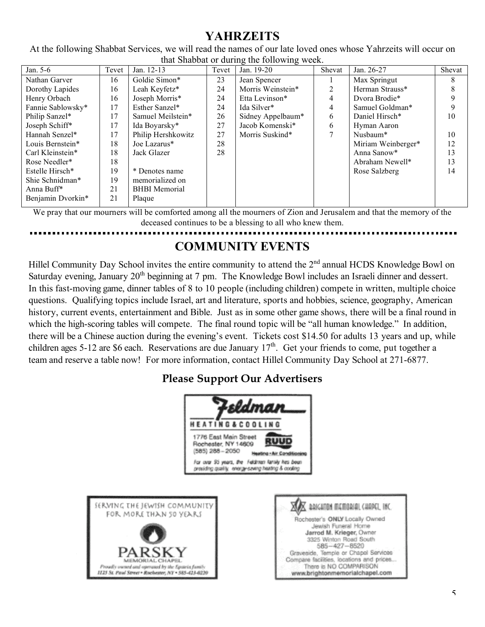# **YAHRZEITS**

At the following Shabbat Services, we will read the names of our late loved ones whose Yahrzeits will occur on that Shabbat or during the following week.

| Jan. 5-6          | Tevet | Jan. 12-13           | Tevet | Jan. 19-20        | Shevat | Jan. 26-27         | Shevat |  |  |  |
|-------------------|-------|----------------------|-------|-------------------|--------|--------------------|--------|--|--|--|
| Nathan Garver     | 16    | Goldie Simon*        | 23    | Jean Spencer      |        | Max Springut       | 8      |  |  |  |
| Dorothy Lapides   | 16    | Leah Keyfetz*        | 24    | Morris Weinstein* | 2      | Herman Strauss*    | 8      |  |  |  |
| Henry Orbach      | 16    | Joseph Morris*       | 24    | Etta Levinson*    | 4      | Dvora Brodie*      |        |  |  |  |
| Fannie Sablowsky* | 17    | Esther Sanzel*       | 24    | Ida Silver*       | 4      | Samuel Goldman*    |        |  |  |  |
| Philip Sanzel*    | 17    | Samuel Meilstein*    | 26    | Sidney Appelbaum* | 6      | Daniel Hirsch*     | 10     |  |  |  |
| Joseph Schiff*    | 17    | Ida Boyarsky*        | 27    | Jacob Komenski*   | 6      | Hyman Aaron        |        |  |  |  |
| Hannah Senzel*    | 17    | Philip Hershkowitz   | 27    | Morris Suskind*   | 7      | Nusbaum*           | 10     |  |  |  |
| Louis Bernstein*  | 18    | Joe Lazarus*         | 28    |                   |        | Miriam Weinberger* | 12     |  |  |  |
| Carl Kleinstein*  | 18    | Jack Glazer          | 28    |                   |        | Anna Sanow*        | 13     |  |  |  |
| Rose Needler*     | 18    |                      |       |                   |        | Abraham Newell*    | 13     |  |  |  |
| Estelle Hirsch*   | 19    | * Denotes name       |       |                   |        | Rose Salzberg      | 14     |  |  |  |
| Shie Schnidman*   | 19    | memorialized on      |       |                   |        |                    |        |  |  |  |
| Anna Buff*        | 21    | <b>BHBI</b> Memorial |       |                   |        |                    |        |  |  |  |
| Benjamin Dvorkin* | 21    | Plaque               |       |                   |        |                    |        |  |  |  |
|                   |       |                      |       |                   |        |                    |        |  |  |  |

We pray that our mourners will be comforted among all the mourners of Zion and Jerusalem and that the memory of the deceased continues to be a blessing to all who knew them.

# **COMMUNITY EVENTS**

Hillel Community Day School invites the entire community to attend the 2<sup>nd</sup> annual HCDS Knowledge Bowl on Saturday evening, January 20<sup>th</sup> beginning at 7 pm. The Knowledge Bowl includes an Israeli dinner and dessert. In this fast-moving game, dinner tables of 8 to 10 people (including children) compete in written, multiple choice questions. Qualifying topics include Israel, art and literature, sports and hobbies, science, geography, American history, current events, entertainment and Bible. Just as in some other game shows, there will be a final round in which the high-scoring tables will compete. The final round topic will be "all human knowledge." In addition, there will be a Chinese auction during the evening's event. Tickets cost \$14.50 for adults 13 years and up, while children ages 5-12 are \$6 each. Reservations are due January  $17<sup>th</sup>$ . Get your friends to come, put together a team and reserve a table now! For more information, contact Hillel Community Day School at 271-6877.

### **Please Support Our Advertisers**



MEMORIAL CHAPEL

roudly owned and operated by the Epstein family 1125 St. Paul Street . Rochester, NY . 585-423-0220